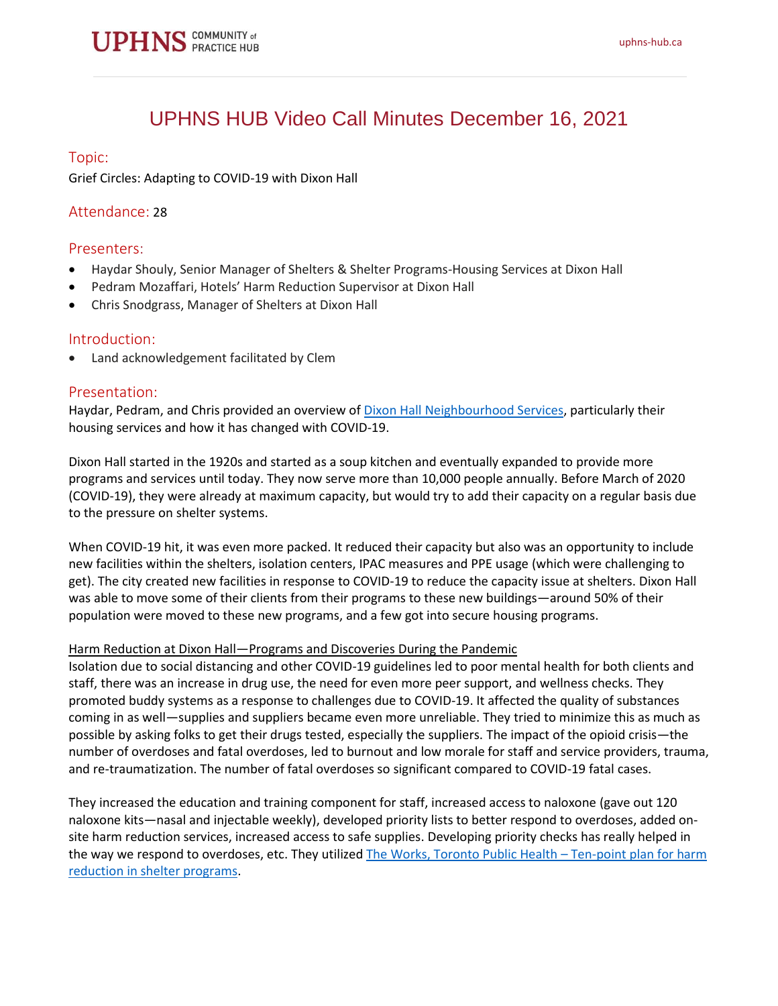### UPHNS HUB Video Call Minutes December 16, 2021

#### Topic:

Grief Circles: Adapting to COVID-19 with Dixon Hall

#### Attendance: 28

#### Presenters:

- Haydar Shouly, Senior Manager of Shelters & Shelter Programs-Housing Services at Dixon Hall
- Pedram Mozaffari, Hotels' Harm Reduction Supervisor at Dixon Hall
- Chris Snodgrass, Manager of Shelters at Dixon Hall

#### Introduction:

• Land acknowledgement facilitated by Clem

#### Presentation:

Haydar, Pedram, and Chris provided an overview of Dixon Hall [Neighbourhood Services,](https://dixonhall.org/housingservices/) particularly their housing services and how it has changed with COVID-19.

Dixon Hall started in the 1920s and started as a soup kitchen and eventually expanded to provide more programs and services until today. They now serve more than 10,000 people annually. Before March of 2020 (COVID-19), they were already at maximum capacity, but would try to add their capacity on a regular basis due to the pressure on shelter systems.

When COVID-19 hit, it was even more packed. It reduced their capacity but also was an opportunity to include new facilities within the shelters, isolation centers, IPAC measures and PPE usage (which were challenging to get). The city created new facilities in response to COVID-19 to reduce the capacity issue at shelters. Dixon Hall was able to move some of their clients from their programs to these new buildings—around 50% of their population were moved to these new programs, and a few got into secure housing programs.

#### Harm Reduction at Dixon Hall—Programs and Discoveries During the Pandemic

Isolation due to social distancing and other COVID-19 guidelines led to poor mental health for both clients and staff, there was an increase in drug use, the need for even more peer support, and wellness checks. They promoted buddy systems as a response to challenges due to COVID-19. It affected the quality of substances coming in as well—supplies and suppliers became even more unreliable. They tried to minimize this as much as possible by asking folks to get their drugs tested, especially the suppliers. The impact of the opioid crisis—the number of overdoses and fatal overdoses, led to burnout and low morale for staff and service providers, trauma, and re-traumatization. The number of fatal overdoses so significant compared to COVID-19 fatal cases.

They increased the education and training component for staff, increased access to naloxone (gave out 120 naloxone kits—nasal and injectable weekly), developed priority lists to better respond to overdoses, added onsite harm reduction services, increased access to safe supplies. Developing priority checks has really helped in the way we respond to overdoses, etc. They utilized [The Works, Toronto Public Health](https://www.toronto.ca/wp-content/uploads/2021/06/9633-10PointShelterHarmReduction210528AODA.pdf) – Ten-point plan for harm [reduction in shelter programs.](https://www.toronto.ca/wp-content/uploads/2021/06/9633-10PointShelterHarmReduction210528AODA.pdf)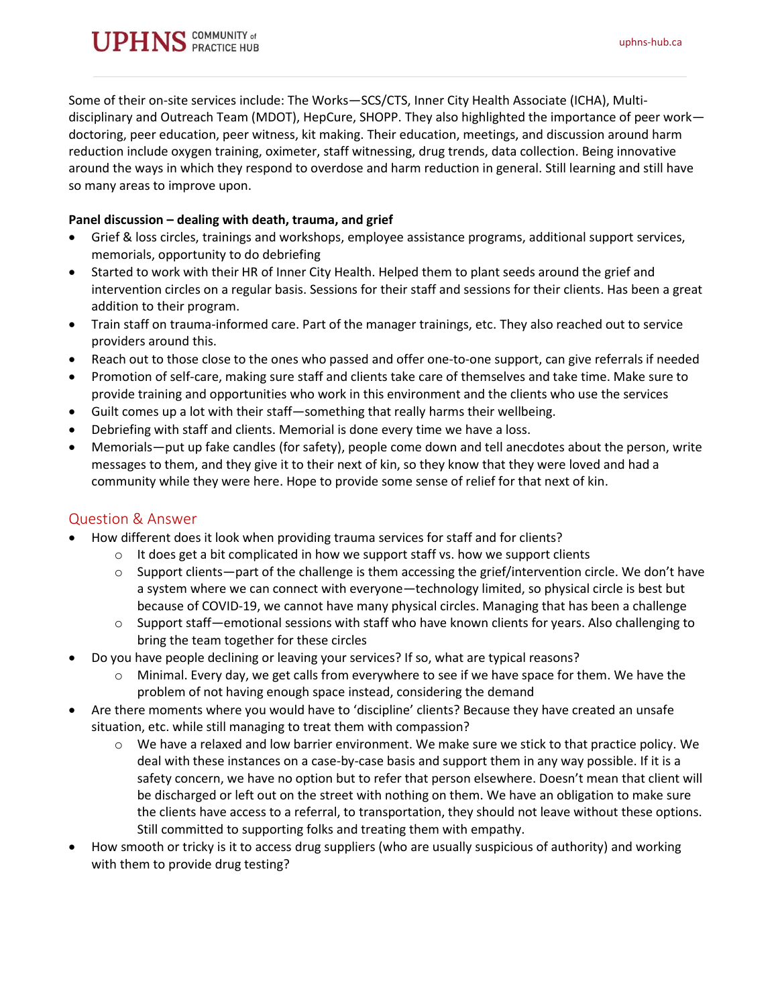## **PHNS** COMMUNITY of

Some of their on-site services include: The Works—SCS/CTS, Inner City Health Associate (ICHA), Multidisciplinary and Outreach Team (MDOT), HepCure, SHOPP. They also highlighted the importance of peer work doctoring, peer education, peer witness, kit making. Their education, meetings, and discussion around harm reduction include oxygen training, oximeter, staff witnessing, drug trends, data collection. Being innovative around the ways in which they respond to overdose and harm reduction in general. Still learning and still have so many areas to improve upon.

#### **Panel discussion – dealing with death, trauma, and grief**

- Grief & loss circles, trainings and workshops, employee assistance programs, additional support services, memorials, opportunity to do debriefing
- Started to work with their HR of Inner City Health. Helped them to plant seeds around the grief and intervention circles on a regular basis. Sessions for their staff and sessions for their clients. Has been a great addition to their program.
- Train staff on trauma-informed care. Part of the manager trainings, etc. They also reached out to service providers around this.
- Reach out to those close to the ones who passed and offer one-to-one support, can give referrals if needed
- Promotion of self-care, making sure staff and clients take care of themselves and take time. Make sure to provide training and opportunities who work in this environment and the clients who use the services
- Guilt comes up a lot with their staff-something that really harms their wellbeing.
- Debriefing with staff and clients. Memorial is done every time we have a loss.
- Memorials—put up fake candles (for safety), people come down and tell anecdotes about the person, write messages to them, and they give it to their next of kin, so they know that they were loved and had a community while they were here. Hope to provide some sense of relief for that next of kin.

#### Question & Answer

- How different does it look when providing trauma services for staff and for clients?
	- $\circ$  It does get a bit complicated in how we support staff vs. how we support clients
	- $\circ$  Support clients—part of the challenge is them accessing the grief/intervention circle. We don't have a system where we can connect with everyone—technology limited, so physical circle is best but because of COVID-19, we cannot have many physical circles. Managing that has been a challenge
	- $\circ$  Support staff—emotional sessions with staff who have known clients for years. Also challenging to bring the team together for these circles
- Do you have people declining or leaving your services? If so, what are typical reasons?
	- o Minimal. Every day, we get calls from everywhere to see if we have space for them. We have the problem of not having enough space instead, considering the demand
- Are there moments where you would have to 'discipline' clients? Because they have created an unsafe situation, etc. while still managing to treat them with compassion?
	- $\circ$  We have a relaxed and low barrier environment. We make sure we stick to that practice policy. We deal with these instances on a case-by-case basis and support them in any way possible. If it is a safety concern, we have no option but to refer that person elsewhere. Doesn't mean that client will be discharged or left out on the street with nothing on them. We have an obligation to make sure the clients have access to a referral, to transportation, they should not leave without these options. Still committed to supporting folks and treating them with empathy.
- How smooth or tricky is it to access drug suppliers (who are usually suspicious of authority) and working with them to provide drug testing?